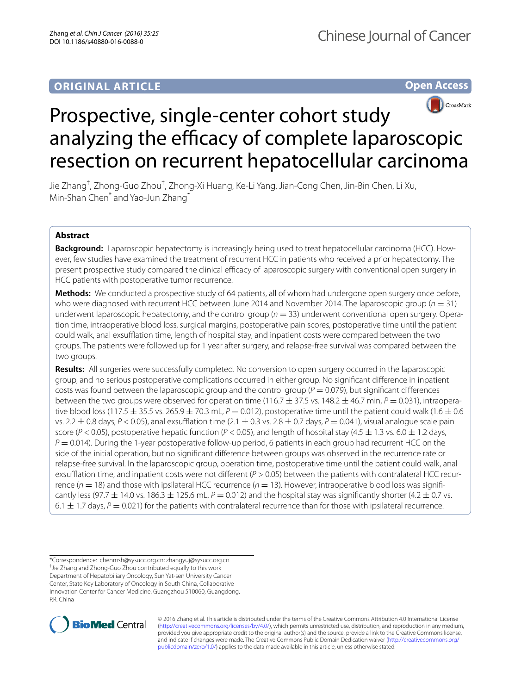**Open Access**



# Prospective, single-center cohort study analyzing the efficacy of complete laparoscopic resection on recurrent hepatocellular carcinoma

Jie Zhang<sup>†</sup>, Zhong-Guo Zhou<sup>†</sup>, Zhong-Xi Huang, Ke-Li Yang, Jian-Cong Chen, Jin-Bin Chen, Li Xu, Min-Shan Chen<sup>\*</sup> and Yao-Jun Zhang<sup>\*</sup>

# **Abstract**

**Background:** Laparoscopic hepatectomy is increasingly being used to treat hepatocellular carcinoma (HCC). How‑ ever, few studies have examined the treatment of recurrent HCC in patients who received a prior hepatectomy. The present prospective study compared the clinical efficacy of laparoscopic surgery with conventional open surgery in HCC patients with postoperative tumor recurrence.

**Methods:** We conducted a prospective study of 64 patients, all of whom had undergone open surgery once before, who were diagnosed with recurrent HCC between June 2014 and November 2014. The laparoscopic group (*n* = 31) underwent laparoscopic hepatectomy, and the control group ( $n = 33$ ) underwent conventional open surgery. Operation time, intraoperative blood loss, surgical margins, postoperative pain scores, postoperative time until the patient could walk, anal exsufflation time, length of hospital stay, and inpatient costs were compared between the two groups. The patients were followed up for 1 year after surgery, and relapse-free survival was compared between the two groups.

**Results:** All surgeries were successfully completed. No conversion to open surgery occurred in the laparoscopic group, and no serious postoperative complications occurred in either group. No significant difference in inpatient costs was found between the laparoscopic group and the control group (*P* = 0.079), but significant differences between the two groups were observed for operation time (116.7  $\pm$  37.5 vs. 148.2  $\pm$  46.7 min,  $P = 0.031$ ), intraoperative blood loss (117.5  $\pm$  35.5 vs. 265.9  $\pm$  70.3 mL,  $P = 0.012$ ), postoperative time until the patient could walk (1.6  $\pm$  0.6 vs. 2.2  $\pm$  0.8 days,  $P < 0.05$ ), anal exsufflation time (2.1  $\pm$  0.3 vs. 2.8  $\pm$  0.7 days,  $P = 0.041$ ), visual analogue scale pain score ( $P$  < 0.05), postoperative hepatic function ( $P$  < 0.05), and length of hospital stay (4.5  $\pm$  1.3 vs. 6.0  $\pm$  1.2 days, *P* = 0.014). During the 1-year postoperative follow-up period, 6 patients in each group had recurrent HCC on the side of the initial operation, but no significant difference between groups was observed in the recurrence rate or relapse-free survival. In the laparoscopic group, operation time, postoperative time until the patient could walk, anal exsufflation time, and inpatient costs were not different ( $P > 0.05$ ) between the patients with contralateral HCC recurrence ( $n = 18$ ) and those with ipsilateral HCC recurrence ( $n = 13$ ). However, intraoperative blood loss was significantly less (97.7  $\pm$  14.0 vs. 186.3  $\pm$  125.6 mL,  $P = 0.012$ ) and the hospital stay was significantly shorter (4.2  $\pm$  0.7 vs. 6.1  $\pm$  1.7 days,  $P = 0.021$ ) for the patients with contralateral recurrence than for those with ipsilateral recurrence.

\*Correspondence: chenmsh@sysucc.org.cn; zhangyuj@sysucc.org.cn † Jie Zhang and Zhong-Guo Zhou contributed equally to this work Department of Hepatobiliary Oncology, Sun Yat-sen University Cancer Center, State Key Laboratory of Oncology in South China, Collaborative Innovation Center for Cancer Medicine, Guangzhou 510060, Guangdong, PR China



© 2016 Zhang et al. This article is distributed under the terms of the Creative Commons Attribution 4.0 International License [\(http://creativecommons.org/licenses/by/4.0/\)](http://creativecommons.org/licenses/by/4.0/), which permits unrestricted use, distribution, and reproduction in any medium, provided you give appropriate credit to the original author(s) and the source, provide a link to the Creative Commons license, and indicate if changes were made. The Creative Commons Public Domain Dedication waiver ([http://creativecommons.org/](http://creativecommons.org/publicdomain/zero/1.0/) [publicdomain/zero/1.0/](http://creativecommons.org/publicdomain/zero/1.0/)) applies to the data made available in this article, unless otherwise stated.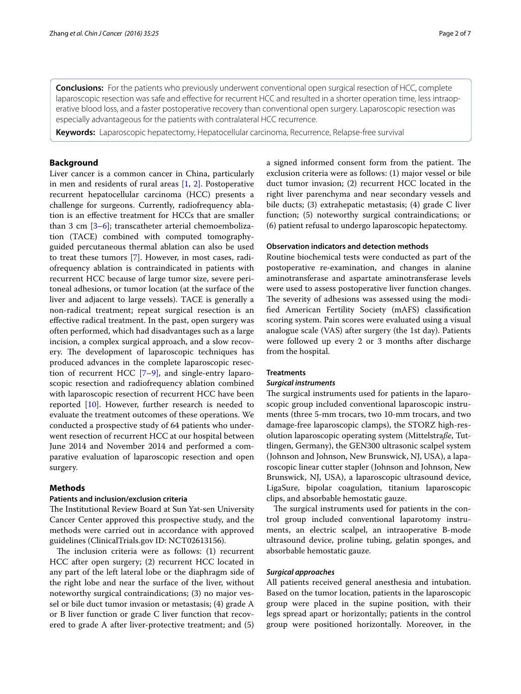**Conclusions:** For the patients who previously underwent conventional open surgical resection of HCC, complete laparoscopic resection was safe and effective for recurrent HCC and resulted in a shorter operation time, less intraoperative blood loss, and a faster postoperative recovery than conventional open surgery. Laparoscopic resection was especially advantageous for the patients with contralateral HCC recurrence.

**Keywords:** Laparoscopic hepatectomy, Hepatocellular carcinoma, Recurrence, Relapse-free survival

# **Background**

Liver cancer is a common cancer in China, particularly in men and residents of rural areas  $[1, 2]$  $[1, 2]$  $[1, 2]$  $[1, 2]$  $[1, 2]$ . Postoperative recurrent hepatocellular carcinoma (HCC) presents a challenge for surgeons. Currently, radiofrequency ablation is an effective treatment for HCCs that are smaller than 3 cm [[3](#page-5-2)[–6](#page-6-0)]; transcatheter arterial chemoembolization (TACE) combined with computed tomographyguided percutaneous thermal ablation can also be used to treat these tumors [\[7](#page-6-1)]. However, in most cases, radiofrequency ablation is contraindicated in patients with recurrent HCC because of large tumor size, severe peritoneal adhesions, or tumor location (at the surface of the liver and adjacent to large vessels). TACE is generally a non-radical treatment; repeat surgical resection is an effective radical treatment. In the past, open surgery was often performed, which had disadvantages such as a large incision, a complex surgical approach, and a slow recovery. The development of laparoscopic techniques has produced advances in the complete laparoscopic resection of recurrent HCC [\[7](#page-6-1)[–9](#page-6-2)], and single-entry laparoscopic resection and radiofrequency ablation combined with laparoscopic resection of recurrent HCC have been reported [\[10](#page-6-3)]. However, further research is needed to evaluate the treatment outcomes of these operations. We conducted a prospective study of 64 patients who underwent resection of recurrent HCC at our hospital between June 2014 and November 2014 and performed a comparative evaluation of laparoscopic resection and open surgery.

#### **Methods**

# **Patients and inclusion/exclusion criteria**

The Institutional Review Board at Sun Yat-sen University Cancer Center approved this prospective study, and the methods were carried out in accordance with approved guidelines (ClinicalTrials.gov ID: NCT02613156).

The inclusion criteria were as follows: (1) recurrent HCC after open surgery; (2) recurrent HCC located in any part of the left lateral lobe or the diaphragm side of the right lobe and near the surface of the liver, without noteworthy surgical contraindications; (3) no major vessel or bile duct tumor invasion or metastasis; (4) grade A or B liver function or grade C liver function that recovered to grade A after liver-protective treatment; and (5) a signed informed consent form from the patient. The exclusion criteria were as follows: (1) major vessel or bile duct tumor invasion; (2) recurrent HCC located in the right liver parenchyma and near secondary vessels and bile ducts; (3) extrahepatic metastasis; (4) grade C liver function; (5) noteworthy surgical contraindications; or (6) patient refusal to undergo laparoscopic hepatectomy.

#### **Observation indicators and detection methods**

Routine biochemical tests were conducted as part of the postoperative re-examination, and changes in alanine aminotransferase and aspartate aminotransferase levels were used to assess postoperative liver function changes. The severity of adhesions was assessed using the modified American Fertility Society (mAFS) classification scoring system. Pain scores were evaluated using a visual analogue scale (VAS) after surgery (the 1st day). Patients were followed up every 2 or 3 months after discharge from the hospital.

# **Treatments**

#### *Surgical instruments*

The surgical instruments used for patients in the laparoscopic group included conventional laparoscopic instruments (three 5-mm trocars, two 10-mm trocars, and two damage-free laparoscopic clamps), the STORZ high-resolution laparoscopic operating system (Mittelstra*ße*, Tuttlingen, Germany), the GEN300 ultrasonic scalpel system (Johnson and Johnson, New Brunswick, NJ, USA), a laparoscopic linear cutter stapler (Johnson and Johnson, New Brunswick, NJ, USA), a laparoscopic ultrasound device, LigaSure, bipolar coagulation, titanium laparoscopic clips, and absorbable hemostatic gauze.

The surgical instruments used for patients in the control group included conventional laparotomy instruments, an electric scalpel, an intraoperative B-mode ultrasound device, proline tubing, gelatin sponges, and absorbable hemostatic gauze.

#### *Surgical approaches*

All patients received general anesthesia and intubation. Based on the tumor location, patients in the laparoscopic group were placed in the supine position, with their legs spread apart or horizontally; patients in the control group were positioned horizontally. Moreover, in the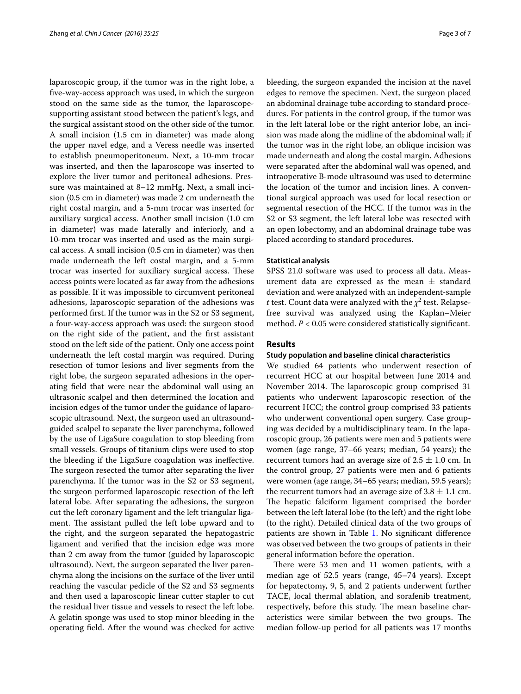laparoscopic group, if the tumor was in the right lobe, a five-way-access approach was used, in which the surgeon stood on the same side as the tumor, the laparoscopesupporting assistant stood between the patient's legs, and the surgical assistant stood on the other side of the tumor. A small incision (1.5 cm in diameter) was made along the upper navel edge, and a Veress needle was inserted to establish pneumoperitoneum. Next, a 10-mm trocar was inserted, and then the laparoscope was inserted to explore the liver tumor and peritoneal adhesions. Pressure was maintained at 8–12 mmHg. Next, a small incision (0.5 cm in diameter) was made 2 cm underneath the right costal margin, and a 5-mm trocar was inserted for auxiliary surgical access. Another small incision (1.0 cm in diameter) was made laterally and inferiorly, and a 10-mm trocar was inserted and used as the main surgical access. A small incision (0.5 cm in diameter) was then made underneath the left costal margin, and a 5-mm trocar was inserted for auxiliary surgical access. These access points were located as far away from the adhesions as possible. If it was impossible to circumvent peritoneal adhesions, laparoscopic separation of the adhesions was performed first. If the tumor was in the S2 or S3 segment, a four-way-access approach was used: the surgeon stood on the right side of the patient, and the first assistant stood on the left side of the patient. Only one access point underneath the left costal margin was required. During resection of tumor lesions and liver segments from the right lobe, the surgeon separated adhesions in the operating field that were near the abdominal wall using an ultrasonic scalpel and then determined the location and incision edges of the tumor under the guidance of laparoscopic ultrasound. Next, the surgeon used an ultrasoundguided scalpel to separate the liver parenchyma, followed by the use of LigaSure coagulation to stop bleeding from small vessels. Groups of titanium clips were used to stop the bleeding if the LigaSure coagulation was ineffective. The surgeon resected the tumor after separating the liver parenchyma. If the tumor was in the S2 or S3 segment, the surgeon performed laparoscopic resection of the left lateral lobe. After separating the adhesions, the surgeon cut the left coronary ligament and the left triangular ligament. The assistant pulled the left lobe upward and to the right, and the surgeon separated the hepatogastric ligament and verified that the incision edge was more than 2 cm away from the tumor (guided by laparoscopic ultrasound). Next, the surgeon separated the liver parenchyma along the incisions on the surface of the liver until reaching the vascular pedicle of the S2 and S3 segments and then used a laparoscopic linear cutter stapler to cut the residual liver tissue and vessels to resect the left lobe. A gelatin sponge was used to stop minor bleeding in the operating field. After the wound was checked for active bleeding, the surgeon expanded the incision at the navel edges to remove the specimen. Next, the surgeon placed an abdominal drainage tube according to standard procedures. For patients in the control group, if the tumor was in the left lateral lobe or the right anterior lobe, an incision was made along the midline of the abdominal wall; if the tumor was in the right lobe, an oblique incision was made underneath and along the costal margin. Adhesions were separated after the abdominal wall was opened, and intraoperative B-mode ultrasound was used to determine the location of the tumor and incision lines. A conventional surgical approach was used for local resection or segmental resection of the HCC. If the tumor was in the S2 or S3 segment, the left lateral lobe was resected with an open lobectomy, and an abdominal drainage tube was placed according to standard procedures.

#### **Statistical analysis**

SPSS 21.0 software was used to process all data. Measurement data are expressed as the mean  $\pm$  standard deviation and were analyzed with an independent-sample *t* test. Count data were analyzed with the  $\chi^2$  test. Relapsefree survival was analyzed using the Kaplan–Meier method.  $P < 0.05$  were considered statistically significant.

# **Results**

#### **Study population and baseline clinical characteristics**

We studied 64 patients who underwent resection of recurrent HCC at our hospital between June 2014 and November 2014. The laparoscopic group comprised 31 patients who underwent laparoscopic resection of the recurrent HCC; the control group comprised 33 patients who underwent conventional open surgery. Case grouping was decided by a multidisciplinary team. In the laparoscopic group, 26 patients were men and 5 patients were women (age range, 37–66 years; median, 54 years); the recurrent tumors had an average size of  $2.5 \pm 1.0$  cm. In the control group, 27 patients were men and 6 patients were women (age range, 34–65 years; median, 59.5 years); the recurrent tumors had an average size of  $3.8 \pm 1.1$  cm. The hepatic falciform ligament comprised the border between the left lateral lobe (to the left) and the right lobe (to the right). Detailed clinical data of the two groups of patients are shown in Table [1](#page-3-0). No significant difference was observed between the two groups of patients in their general information before the operation.

There were 53 men and 11 women patients, with a median age of 52.5 years (range, 45–74 years). Except for hepatectomy, 9, 5, and 2 patients underwent further TACE, local thermal ablation, and sorafenib treatment, respectively, before this study. The mean baseline characteristics were similar between the two groups. The median follow-up period for all patients was 17 months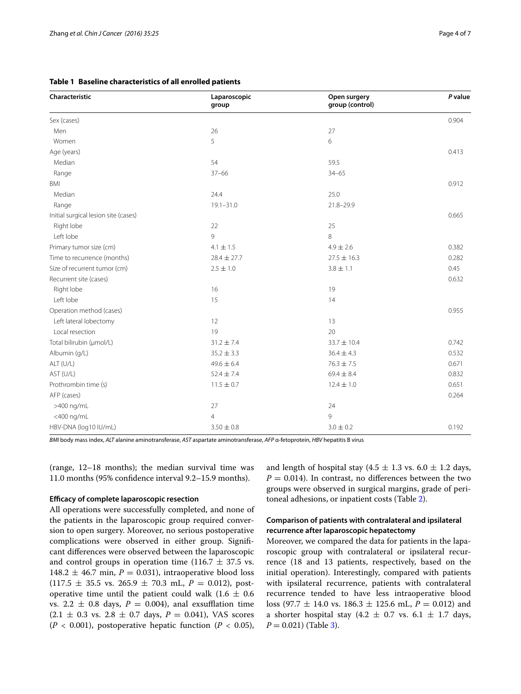| Characteristic                       | Laparoscopic<br>group | Open surgery<br>group (control) | P value |
|--------------------------------------|-----------------------|---------------------------------|---------|
| Sex (cases)                          |                       |                                 | 0.904   |
| Men                                  | 26                    | 27                              |         |
| Women                                | 5                     | 6                               |         |
| Age (years)                          |                       |                                 | 0.413   |
| Median                               | 54                    | 59.5                            |         |
| Range                                | $37 - 66$             | $34 - 65$                       |         |
| <b>BMI</b>                           |                       |                                 | 0.912   |
| Median                               | 24.4                  | 25.0                            |         |
| Range                                | $19.1 - 31.0$         | 21.8-29.9                       |         |
| Initial surgical lesion site (cases) |                       |                                 | 0.665   |
| Right lobe                           | 22                    | 25                              |         |
| Left lobe                            | 9                     | 8                               |         |
| Primary tumor size (cm)              | $4.1 \pm 1.5$         | $4.9 \pm 2.6$                   | 0.382   |
| Time to recurrence (months)          | $28.4 \pm 27.7$       | $27.5 \pm 16.3$                 | 0.282   |
| Size of recurrent tumor (cm)         | $2.5 \pm 1.0$         | $3.8 \pm 1.1$                   | 0.45    |
| Recurrent site (cases)               |                       |                                 | 0.632   |
| Right lobe                           | 16                    | 19                              |         |
| Left lobe                            | 15                    | 14                              |         |
| Operation method (cases)             |                       |                                 | 0.955   |
| Left lateral lobectomy               | 12                    | 13                              |         |
| Local resection                      | 19                    | 20                              |         |
| Total bilirubin (µmol/L)             | $31.2 \pm 7.4$        | $33.7 \pm 10.4$                 | 0.742   |
| Albumin (g/L)                        | $35.2 \pm 3.3$        | $36.4 \pm 4.3$                  | 0.532   |
| ALT (U/L)                            | $49.6 \pm 6.4$        | $76.3 \pm 7.5$                  | 0.671   |
| AST (U/L)                            | $52.4 \pm 7.4$        | $69.4 \pm 8.4$                  | 0.832   |
| Prothrombin time (s)                 | $11.5 \pm 0.7$        | $12.4 \pm 1.0$                  | 0.651   |
| AFP (cases)                          |                       |                                 | 0.264   |
| >400 ng/mL                           | 27                    | 24                              |         |
| <400 ng/mL                           | $\overline{4}$        | 9                               |         |
| HBV-DNA (log10 IU/mL)                | $3.50 \pm 0.8$        | $3.0 \pm 0.2$                   | 0.192   |

### <span id="page-3-0"></span>**Table 1 Baseline characteristics of all enrolled patients**

*BMI* body mass index, *ALT* alanine aminotransferase, *AST* aspartate aminotransferase, *AFP* α-fetoprotein, *HBV* hepatitis B virus

(range, 12–18 months); the median survival time was 11.0 months (95% confidence interval 9.2–15.9 months).

#### **Efficacy of complete laparoscopic resection**

All operations were successfully completed, and none of the patients in the laparoscopic group required conversion to open surgery. Moreover, no serious postoperative complications were observed in either group. Significant differences were observed between the laparoscopic and control groups in operation time (116.7  $\pm$  37.5 vs. 148.2  $\pm$  46.7 min,  $P = 0.031$ ), intraoperative blood loss  $(117.5 \pm 35.5 \text{ vs. } 265.9 \pm 70.3 \text{ mL}, P = 0.012)$ , postoperative time until the patient could walk  $(1.6 \pm 0.6)$ vs. 2.2  $\pm$  0.8 days,  $P = 0.004$ ), anal exsufflation time  $(2.1 \pm 0.3 \text{ vs. } 2.8 \pm 0.7 \text{ days}, P = 0.041)$ , VAS scores  $(P < 0.001)$ , postoperative hepatic function  $(P < 0.05)$ ,

and length of hospital stay (4.5  $\pm$  1.3 vs. 6.0  $\pm$  1.2 days,  $P = 0.014$ ). In contrast, no differences between the two groups were observed in surgical margins, grade of peritoneal adhesions, or inpatient costs (Table [2](#page-4-0)).

# **Comparison of patients with contralateral and ipsilateral recurrence after laparoscopic hepatectomy**

Moreover, we compared the data for patients in the laparoscopic group with contralateral or ipsilateral recurrence (18 and 13 patients, respectively, based on the initial operation). Interestingly, compared with patients with ipsilateral recurrence, patients with contralateral recurrence tended to have less intraoperative blood loss (97.7 ± 14.0 vs. 186.3 ± 125.6 mL, *P* = 0.012) and a shorter hospital stay (4.2  $\pm$  0.7 vs. 6.1  $\pm$  1.7 days,  $P = 0.021$ ) (Table [3\)](#page-4-1).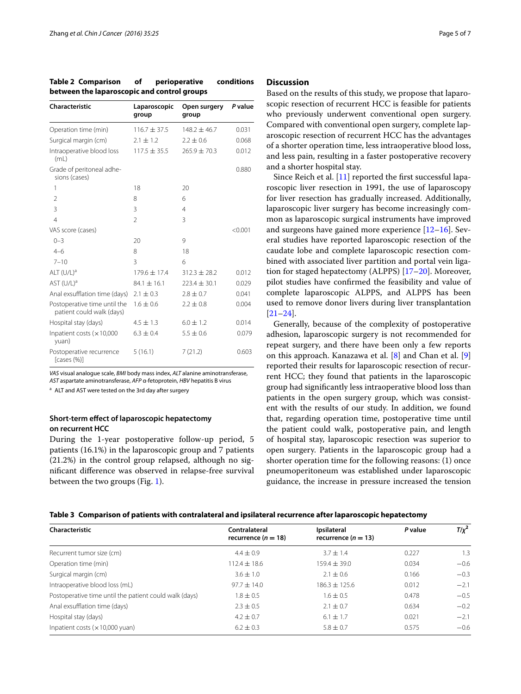| Characteristic                                            | Laparoscopic<br>group | Open surgery<br>group | P value |
|-----------------------------------------------------------|-----------------------|-----------------------|---------|
| Operation time (min)                                      | $116.7 + 37.5$        | $148.2 + 46.7$        | 0.031   |
| Surgical margin (cm)                                      | $2.1 \pm 1.2$         | $2.2 \pm 0.6$         | 0.068   |
| Intraoperative blood loss<br>(mL)                         | $117.5 \pm 35.5$      | $265.9 \pm 70.3$      | 0.012   |
| Grade of peritoneal adhe-<br>sions (cases)                |                       |                       | 0.880   |
| 1                                                         | 18                    | 20                    |         |
| $\overline{2}$                                            | 8                     | 6                     |         |
| 3                                                         | 3                     | $\overline{4}$        |         |
| $\overline{4}$                                            | 2                     | 3                     |         |
| VAS score (cases)                                         |                       |                       | < 0.001 |
| $0 - 3$                                                   | 20                    | 9                     |         |
| $4 - 6$                                                   | 8                     | 18                    |         |
| $7 - 10$                                                  | 3                     | 6                     |         |
| ALT $(U/L)^a$                                             | $179.6 \pm 17.4$      | $312.3 \pm 28.2$      | 0.012   |
| AST $(U/L)^a$                                             | $84.1 \pm 16.1$       | $223.4 \pm 30.1$      | 0.029   |
| Anal exsufflation time (days)                             | $2.1 \pm 0.3$         | $2.8 \pm 0.7$         | 0.041   |
| Postoperative time until the<br>patient could walk (days) | $1.6 \pm 0.6$         | $2.2 \pm 0.8$         | 0.004   |
| Hospital stay (days)                                      | $4.5 \pm 1.3$         | $6.0 \pm 1.2$         | 0.014   |
| Inpatient costs $(x10,000)$<br>yuan)                      | $6.3 \pm 0.4$         | $5.5 \pm 0.6$         | 0.079   |
| Postoperative recurrence<br>[cases (%)]                   | 5(16.1)               | 7(21.2)               | 0.603   |

<span id="page-4-0"></span>**Table 2 Comparison of perioperative conditions between the laparoscopic and control groups**

*VAS* visual analogue scale, *BMI* body mass index, *ALT* alanine aminotransferase, *AST* aspartate aminotransferase, *AFP* α-fetoprotein, *HBV* hepatitis B virus

<sup>a</sup> ALT and AST were tested on the 3rd day after surgery

# **Short‑term effect of laparoscopic hepatectomy on recurrent HCC**

During the 1-year postoperative follow-up period, 5 patients (16.1%) in the laparoscopic group and 7 patients (21.2%) in the control group relapsed, although no significant difference was observed in relapse-free survival between the two groups (Fig. [1](#page-5-3)).

#### **Discussion**

Based on the results of this study, we propose that laparoscopic resection of recurrent HCC is feasible for patients who previously underwent conventional open surgery. Compared with conventional open surgery, complete laparoscopic resection of recurrent HCC has the advantages of a shorter operation time, less intraoperative blood loss, and less pain, resulting in a faster postoperative recovery and a shorter hospital stay.

Since Reich et al. [\[11](#page-6-4)] reported the first successful laparoscopic liver resection in 1991, the use of laparoscopy for liver resection has gradually increased. Additionally, laparoscopic liver surgery has become increasingly common as laparoscopic surgical instruments have improved and surgeons have gained more experience [[12–](#page-6-5)[16\]](#page-6-6). Several studies have reported laparoscopic resection of the caudate lobe and complete laparoscopic resection combined with associated liver partition and portal vein ligation for staged hepatectomy (ALPPS) [\[17–](#page-6-7)[20\]](#page-6-8). Moreover, pilot studies have confirmed the feasibility and value of complete laparoscopic ALPPS, and ALPPS has been used to remove donor livers during liver transplantation [[21–](#page-6-9)[24\]](#page-6-10).

Generally, because of the complexity of postoperative adhesion, laparoscopic surgery is not recommended for repeat surgery, and there have been only a few reports on this approach. Kanazawa et al. [\[8\]](#page-6-11) and Chan et al. [\[9](#page-6-2)] reported their results for laparoscopic resection of recurrent HCC; they found that patients in the laparoscopic group had significantly less intraoperative blood loss than patients in the open surgery group, which was consistent with the results of our study. In addition, we found that, regarding operation time, postoperative time until the patient could walk, postoperative pain, and length of hospital stay, laparoscopic resection was superior to open surgery. Patients in the laparoscopic group had a shorter operation time for the following reasons: (1) once pneumoperitoneum was established under laparoscopic guidance, the increase in pressure increased the tension

<span id="page-4-1"></span>

|  |  | Table 3   Comparison of patients with contralateral and ipsilateral recurrence after laparoscopic hepatectomy |  |
|--|--|---------------------------------------------------------------------------------------------------------------|--|
|  |  |                                                                                                               |  |

| Characteristic                                         | Contralateral<br>recurrence ( $n = 18$ ) | Ipsilateral<br>recurrence $(n = 13)$ | P value | $T/\chi^2$ |
|--------------------------------------------------------|------------------------------------------|--------------------------------------|---------|------------|
| Recurrent tumor size (cm)                              | $4.4 \pm 0.9$                            | $3.7 + 1.4$                          | 0.227   | 1.3        |
| Operation time (min)                                   | $112.4 \pm 18.6$                         | $159.4 \pm 39.0$                     | 0.034   | $-0.6$     |
| Surgical margin (cm)                                   | $3.6 \pm 1.0$                            | $2.1 \pm 0.6$                        | 0.166   | $-0.3$     |
| Intraoperative blood loss (mL)                         | $97.7 \pm 14.0$                          | $186.3 + 125.6$                      | 0.012   | $-2.1$     |
| Postoperative time until the patient could walk (days) | $1.8 \pm 0.5$                            | $1.6 \pm 0.5$                        | 0.478   | $-0.5$     |
| Anal exsufflation time (days)                          | $2.3 \pm 0.5$                            | $2.1 \pm 0.7$                        | 0.634   | $-0.2$     |
| Hospital stay (days)                                   | $4.2 \pm 0.7$                            | $6.1 \pm 1.7$                        | 0.021   | $-2.1$     |
| Inpatient costs $(x10,000$ yuan)                       | $6.2 \pm 0.3$                            | $5.8 \pm 0.7$                        | 0.575   | $-0.6$     |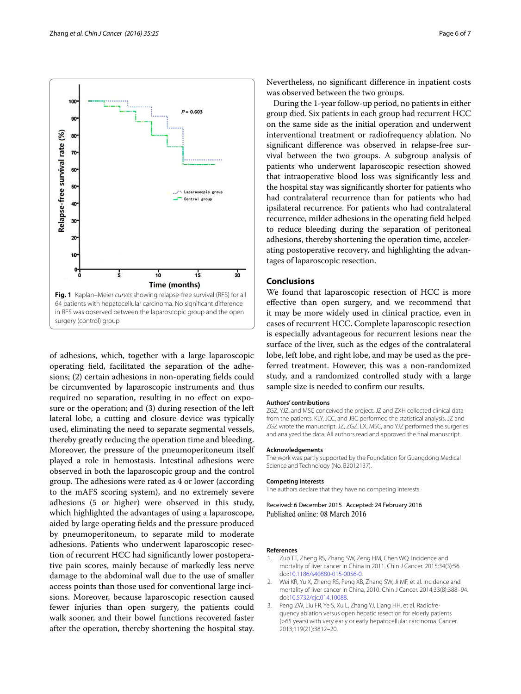

<span id="page-5-3"></span>of adhesions, which, together with a large laparoscopic operating field, facilitated the separation of the adhesions; (2) certain adhesions in non-operating fields could be circumvented by laparoscopic instruments and thus required no separation, resulting in no effect on exposure or the operation; and (3) during resection of the left lateral lobe, a cutting and closure device was typically used, eliminating the need to separate segmental vessels, thereby greatly reducing the operation time and bleeding. Moreover, the pressure of the pneumoperitoneum itself played a role in hemostasis. Intestinal adhesions were observed in both the laparoscopic group and the control group. The adhesions were rated as 4 or lower (according to the mAFS scoring system), and no extremely severe adhesions (5 or higher) were observed in this study, which highlighted the advantages of using a laparoscope, aided by large operating fields and the pressure produced by pneumoperitoneum, to separate mild to moderate adhesions. Patients who underwent laparoscopic resection of recurrent HCC had significantly lower postoperative pain scores, mainly because of markedly less nerve damage to the abdominal wall due to the use of smaller access points than those used for conventional large incisions. Moreover, because laparoscopic resection caused fewer injuries than open surgery, the patients could walk sooner, and their bowel functions recovered faster after the operation, thereby shortening the hospital stay. Nevertheless, no significant difference in inpatient costs was observed between the two groups.

During the 1-year follow-up period, no patients in either group died. Six patients in each group had recurrent HCC on the same side as the initial operation and underwent interventional treatment or radiofrequency ablation. No significant difference was observed in relapse-free survival between the two groups. A subgroup analysis of patients who underwent laparoscopic resection showed that intraoperative blood loss was significantly less and the hospital stay was significantly shorter for patients who had contralateral recurrence than for patients who had ipsilateral recurrence. For patients who had contralateral recurrence, milder adhesions in the operating field helped to reduce bleeding during the separation of peritoneal adhesions, thereby shortening the operation time, accelerating postoperative recovery, and highlighting the advantages of laparoscopic resection.

# **Conclusions**

We found that laparoscopic resection of HCC is more effective than open surgery, and we recommend that it may be more widely used in clinical practice, even in cases of recurrent HCC. Complete laparoscopic resection is especially advantageous for recurrent lesions near the surface of the liver, such as the edges of the contralateral lobe, left lobe, and right lobe, and may be used as the preferred treatment. However, this was a non-randomized study, and a randomized controlled study with a large sample size is needed to confirm our results.

#### **Authors' contributions**

ZGZ, YJZ, and MSC conceived the project. JZ and ZXH collected clinical data from the patients. KLY, JCC, and JBC performed the statistical analysis. JZ and ZGZ wrote the manuscript. JZ, ZGZ, LX, MSC, and YJZ performed the surgeries and analyzed the data. All authors read and approved the final manuscript.

#### **Acknowledgements**

The work was partly supported by the Foundation for Guangdong Medical Science and Technology (No. B2012137).

#### **Competing interests**

The authors declare that they have no competing interests.

Received: 6 December 2015 Accepted: 24 February 2016 Published online: 08 March 2016

#### **References**

- <span id="page-5-0"></span>Zuo TT, Zheng RS, Zhang SW, Zeng HM, Chen WQ. Incidence and mortality of liver cancer in China in 2011. Chin J Cancer. 2015;34(3):56. doi:[10.1186/s40880-015-0056-0.](http://dx.doi.org/10.1186/s40880-015-0056-0)
- <span id="page-5-1"></span>2. Wei KR, Yu X, Zheng RS, Peng XB, Zhang SW, Ji MF, et al. Incidence and mortality of liver cancer in China, 2010. Chin J Cancer. 2014;33(8):388–94. doi:[10.5732/cjc.014.10088.](http://dx.doi.org/10.5732/cjc.014.10088)
- <span id="page-5-2"></span>3. Peng ZW, Liu FR, Ye S, Xu L, Zhang YJ, Liang HH, et al. Radiofrequency ablation versus open hepatic resection for elderly patients (>65 years) with very early or early hepatocellular carcinoma. Cancer. 2013;119(21):3812–20.